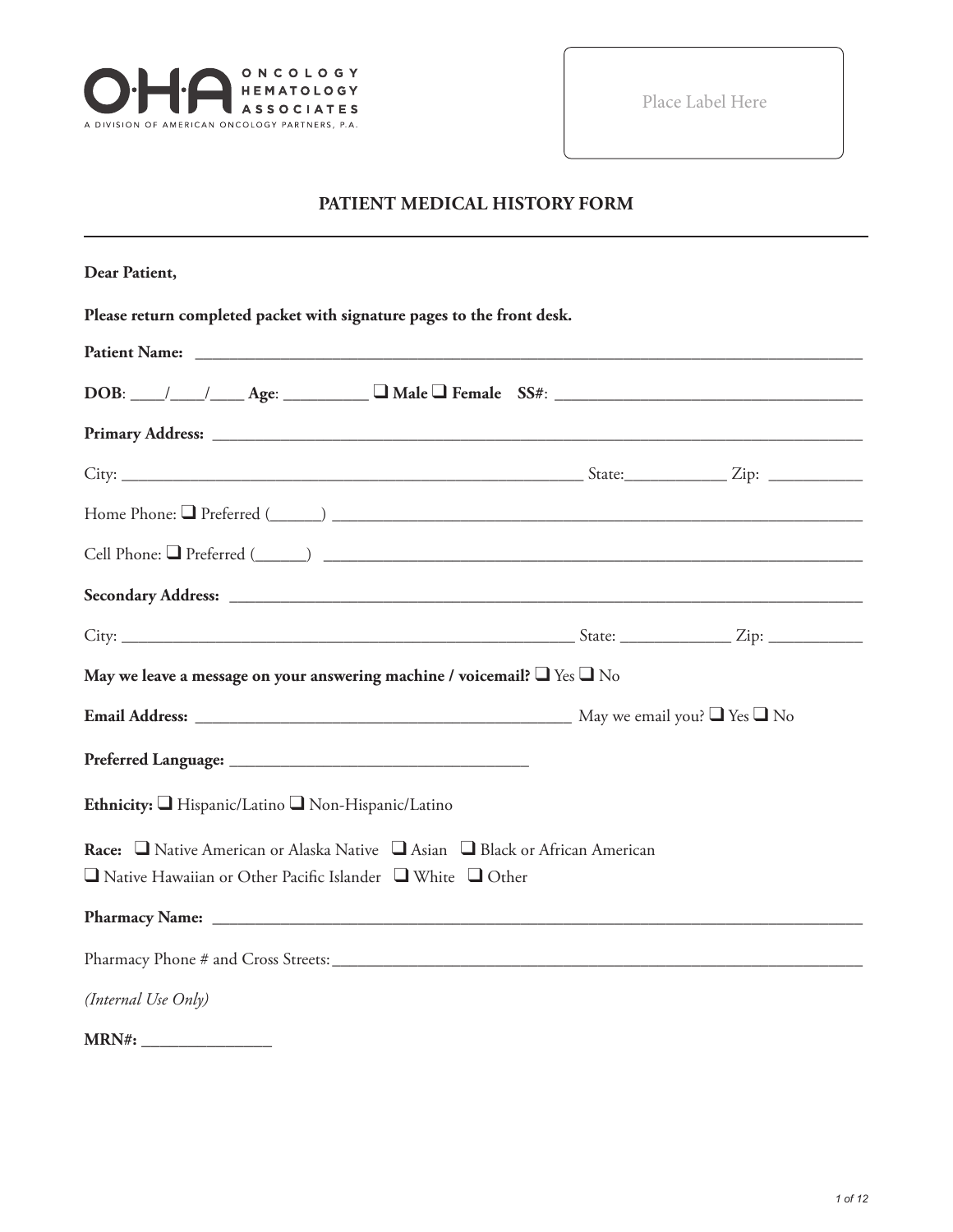

Place Label Here

# **PATIENT MEDICAL HISTORY FORM**

| Dear Patient,                                                                                                                                              |  |
|------------------------------------------------------------------------------------------------------------------------------------------------------------|--|
| Please return completed packet with signature pages to the front desk.                                                                                     |  |
|                                                                                                                                                            |  |
| $DOB:$ $\_\_\_\_\_\_\_\_\_\_\_\_\_\_\_$ Age: $\_\_\_\_\_\_\_\_\_\_\_\_\_\_\_\_\_\_$ Female $SS#:$ $\_\_\_\_\_\_\_\_\_\_\_\_\_\_\_\_\_\_\_\_\_$             |  |
|                                                                                                                                                            |  |
|                                                                                                                                                            |  |
|                                                                                                                                                            |  |
|                                                                                                                                                            |  |
|                                                                                                                                                            |  |
|                                                                                                                                                            |  |
| May we leave a message on your answering machine / voicemail? $\Box$ Yes $\Box$ No                                                                         |  |
|                                                                                                                                                            |  |
|                                                                                                                                                            |  |
| Ethnicity: Hispanic/Latino Non-Hispanic/Latino                                                                                                             |  |
| Race: □ Native American or Alaska Native □ Asian □ Black or African American<br>$\Box$ Native Hawaiian or Other Pacific Islander $\Box$ White $\Box$ Other |  |
|                                                                                                                                                            |  |
|                                                                                                                                                            |  |
| (Internal Use Only)                                                                                                                                        |  |
|                                                                                                                                                            |  |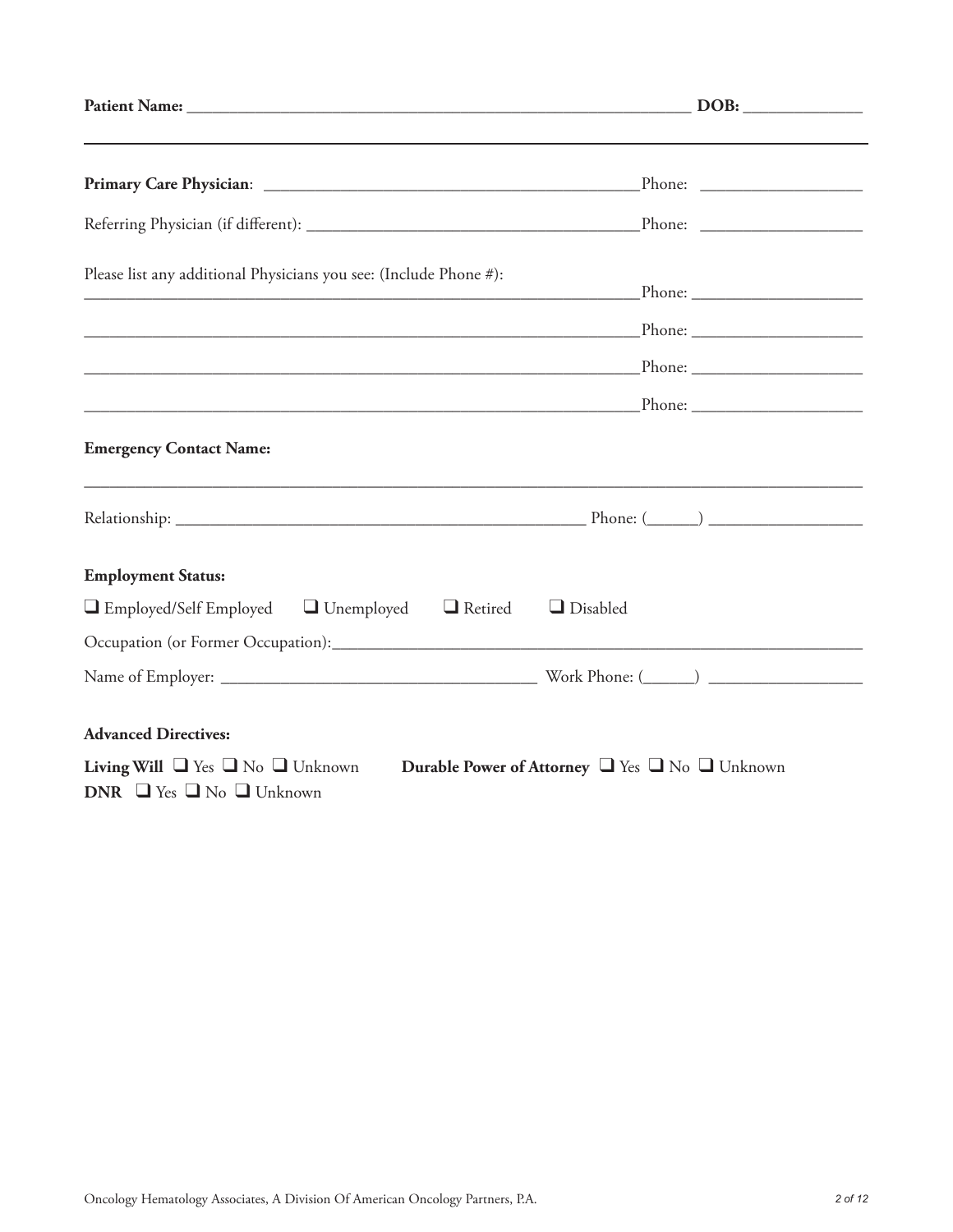| Please list any additional Physicians you see: (Include Phone #):                                                                                 |  |
|---------------------------------------------------------------------------------------------------------------------------------------------------|--|
|                                                                                                                                                   |  |
|                                                                                                                                                   |  |
|                                                                                                                                                   |  |
| <b>Emergency Contact Name:</b>                                                                                                                    |  |
|                                                                                                                                                   |  |
| <b>Employment Status:</b>                                                                                                                         |  |
| $\Box$ Employed/Self Employed $\Box$ Unemployed $\Box$ Retired<br>$\Box$ Disabled                                                                 |  |
|                                                                                                                                                   |  |
|                                                                                                                                                   |  |
| <b>Advanced Directives:</b>                                                                                                                       |  |
| <b>Living Will</b> $\Box$ Yes $\Box$ No $\Box$ Unknown<br>Durable Power of Attorney U Yes U No Unknown<br>DNR $\Box$ Yes $\Box$ No $\Box$ Unknown |  |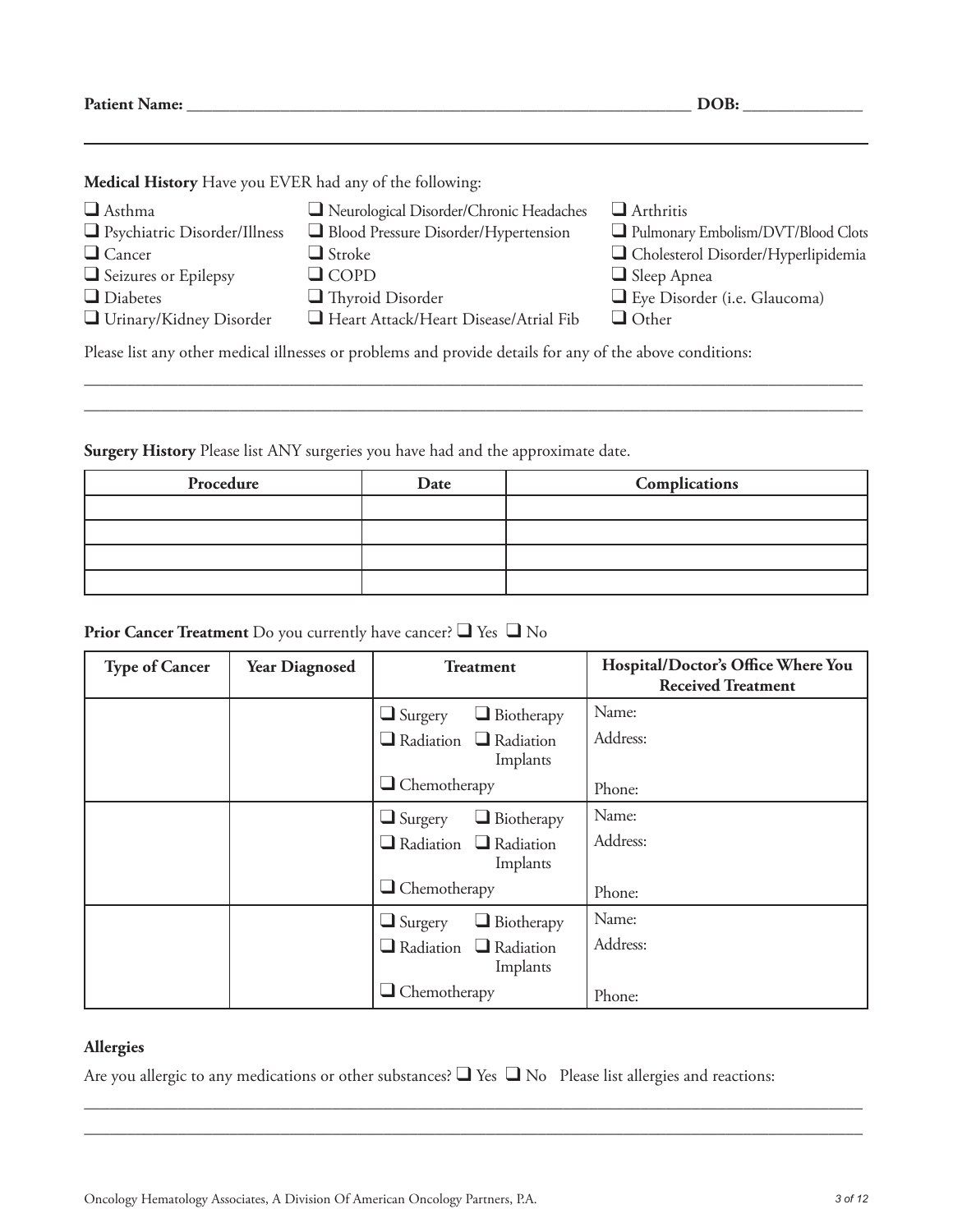**Patient Name: \_\_\_\_\_\_\_\_\_\_\_\_\_\_\_\_\_\_\_\_\_\_\_\_\_\_\_\_\_\_\_\_\_\_\_\_\_\_\_\_\_\_\_\_\_\_\_\_\_\_\_\_\_\_\_\_\_\_\_ DOB: \_\_\_\_\_\_\_\_\_\_\_\_\_\_**

**Medical History** Have you EVER had any of the following:

| $\Box$ Asthma                                                                                            | Neurological Disorder/Chronic Headaches | $\Box$ Arthritis                    |  |  |
|----------------------------------------------------------------------------------------------------------|-----------------------------------------|-------------------------------------|--|--|
| $\Box$ Psychiatric Disorder/Illness                                                                      | Blood Pressure Disorder/Hypertension    | Pulmonary Embolism/DVT/Blood Clots  |  |  |
| $\Box$ Cancer                                                                                            | $\Box$ Stroke                           | Cholesterol Disorder/Hyperlipidemia |  |  |
| $\Box$ Seizures or Epilepsy                                                                              | $\Box$ COPD                             | $\Box$ Sleep Apnea                  |  |  |
| $\Box$ Diabetes                                                                                          | $\Box$ Thyroid Disorder                 | Eye Disorder (i.e. Glaucoma)        |  |  |
| $\Box$ Urinary/Kidney Disorder                                                                           | Heart Attack/Heart Disease/Atrial Fib   | $\Box$ Other                        |  |  |
| Please list any other medical illnesses or problems and provide details for any of the above conditions: |                                         |                                     |  |  |

\_\_\_\_\_\_\_\_\_\_\_\_\_\_\_\_\_\_\_\_\_\_\_\_\_\_\_\_\_\_\_\_\_\_\_\_\_\_\_\_\_\_\_\_\_\_\_\_\_\_\_\_\_\_\_\_\_\_\_\_\_\_\_\_\_\_\_\_\_\_\_\_\_\_\_\_\_\_\_\_\_\_\_\_\_\_\_\_\_\_\_ \_\_\_\_\_\_\_\_\_\_\_\_\_\_\_\_\_\_\_\_\_\_\_\_\_\_\_\_\_\_\_\_\_\_\_\_\_\_\_\_\_\_\_\_\_\_\_\_\_\_\_\_\_\_\_\_\_\_\_\_\_\_\_\_\_\_\_\_\_\_\_\_\_\_\_\_\_\_\_\_\_\_\_\_\_\_\_\_\_\_\_

**Surgery History** Please list ANY surgeries you have had and the approximate date.

| Procedure | Date | Complications |
|-----------|------|---------------|
|           |      |               |
|           |      |               |
|           |      |               |
|           |      |               |

# **Prior Cancer Treatment** Do you currently have cancer? ❑ Yes ❑ No

| <b>Type of Cancer</b> | <b>Year Diagnosed</b> | <b>Treatment</b>                              | Hospital/Doctor's Office Where You<br><b>Received Treatment</b> |
|-----------------------|-----------------------|-----------------------------------------------|-----------------------------------------------------------------|
|                       |                       | $\Box$ Biotherapy<br>$\Box$ Surgery           | Name:                                                           |
|                       |                       | $\Box$ Radiation $\Box$ Radiation<br>Implants | Address:                                                        |
|                       |                       | $\Box$ Chemotherapy                           | Phone:                                                          |
|                       |                       | $\Box$ Biotherapy<br>$\Box$ Surgery           | Name:                                                           |
|                       |                       | $\Box$ Radiation $\Box$ Radiation<br>Implants | Address:                                                        |
|                       |                       | $\Box$ Chemotherapy                           | Phone:                                                          |
|                       |                       | $\Box$ Biotherapy<br>$\Box$ Surgery           | Name:                                                           |
|                       |                       | $\Box$ Radiation $\Box$ Radiation<br>Implants | Address:                                                        |
|                       |                       | $\Box$ Chemotherapy                           | Phone:                                                          |

#### **Allergies**

Are you allergic to any medications or other substances? ❑ Yes ❑ No Please list allergies and reactions:

\_\_\_\_\_\_\_\_\_\_\_\_\_\_\_\_\_\_\_\_\_\_\_\_\_\_\_\_\_\_\_\_\_\_\_\_\_\_\_\_\_\_\_\_\_\_\_\_\_\_\_\_\_\_\_\_\_\_\_\_\_\_\_\_\_\_\_\_\_\_\_\_\_\_\_\_\_\_\_\_\_\_\_\_\_\_\_\_\_\_\_ \_\_\_\_\_\_\_\_\_\_\_\_\_\_\_\_\_\_\_\_\_\_\_\_\_\_\_\_\_\_\_\_\_\_\_\_\_\_\_\_\_\_\_\_\_\_\_\_\_\_\_\_\_\_\_\_\_\_\_\_\_\_\_\_\_\_\_\_\_\_\_\_\_\_\_\_\_\_\_\_\_\_\_\_\_\_\_\_\_\_\_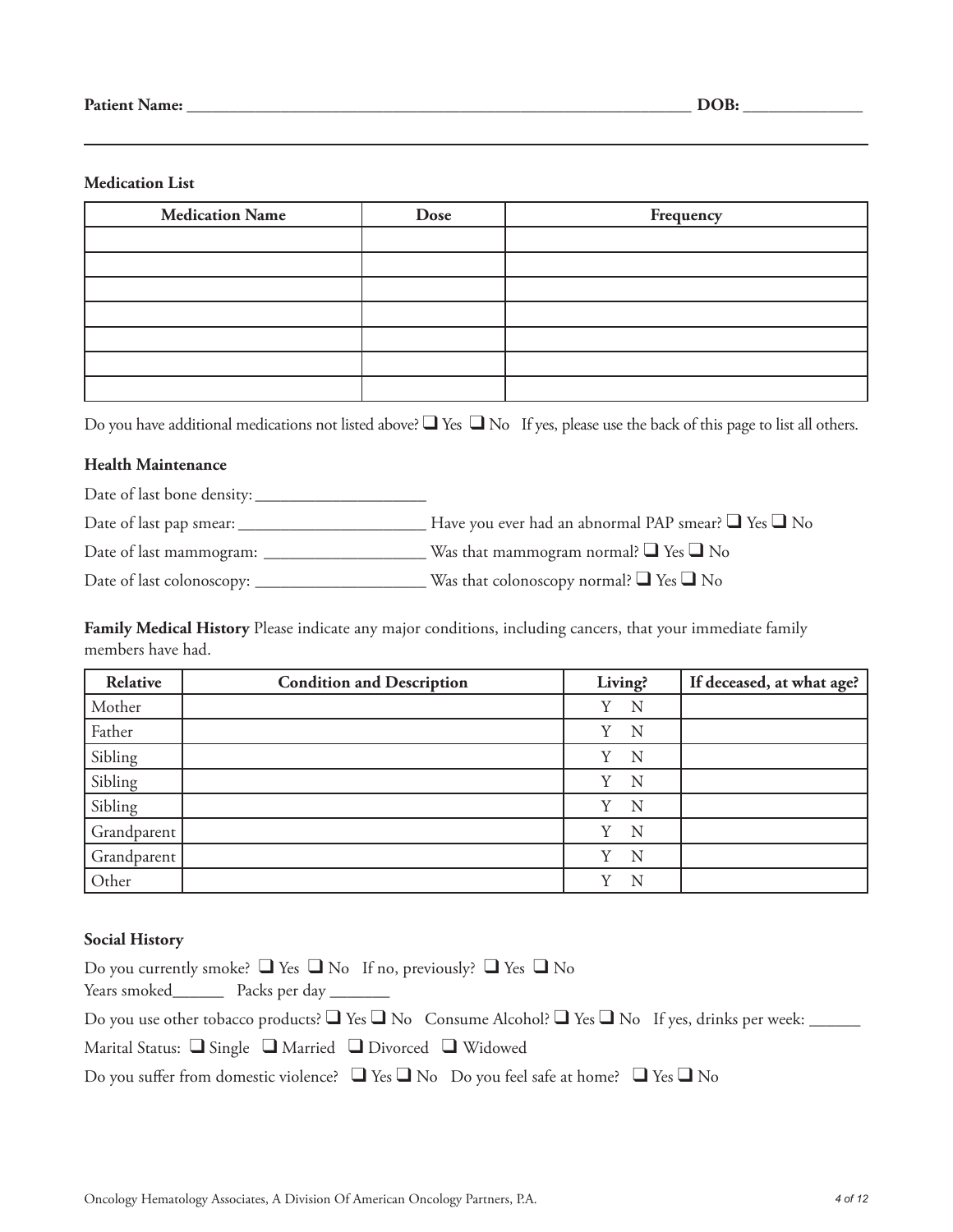#### **Medication List**

| <b>Medication Name</b> | Dose | Frequency |
|------------------------|------|-----------|
|                        |      |           |
|                        |      |           |
|                        |      |           |
|                        |      |           |
|                        |      |           |
|                        |      |           |
|                        |      |           |

Do you have additional medications not listed above?  $\Box$  Yes  $\Box$  No If yes, please use the back of this page to list all others.

#### **Health Maintenance**

Date of last bone density: \_\_\_\_\_\_\_\_\_\_\_\_\_\_\_\_\_\_\_\_

Date of last pap smear: \_\_\_\_\_\_\_\_\_\_\_\_\_\_\_\_\_\_\_\_\_\_ Have you ever had an abnormal PAP smear? ❑ Yes ❑ No

Date of last mammogram: \_\_\_\_\_\_\_\_\_\_\_\_\_\_\_\_\_\_\_ Was that mammogram normal? ❑ Yes ❑ No

Date of last colonoscopy: \_\_\_\_\_\_\_\_\_\_\_\_\_\_\_\_\_\_\_\_ Was that colonoscopy normal? ❑ Yes ❑ No

**Family Medical History** Please indicate any major conditions, including cancers, that your immediate family members have had.

| Relative    | <b>Condition and Description</b> | Living? | If deceased, at what age? |
|-------------|----------------------------------|---------|---------------------------|
| Mother      |                                  | N<br>Y  |                           |
| Father      |                                  | Y<br>N  |                           |
| Sibling     |                                  | Y<br>N  |                           |
| Sibling     |                                  | Y<br>N  |                           |
| Sibling     |                                  | N<br>Y  |                           |
| Grandparent |                                  | N<br>Y  |                           |
| Grandparent |                                  | N<br>Y  |                           |
| Other       |                                  | v<br>N  |                           |

#### **Social History**

| Do you currently smoke? $\Box$ Yes $\Box$ No If no, previously? $\Box$ Yes $\Box$ No                                   |
|------------------------------------------------------------------------------------------------------------------------|
| Years smoked Packs per day                                                                                             |
| Do you use other tobacco products? $\Box$ Yes $\Box$ No Consume Alcohol? $\Box$ Yes $\Box$ No If yes, drinks per week: |
| Marital Status: $\Box$ Single $\Box$ Married $\Box$ Divorced $\Box$ Widowed                                            |
| Do you suffer from domestic violence? $\Box$ Yes $\Box$ No Do you feel safe at home? $\Box$ Yes $\Box$ No              |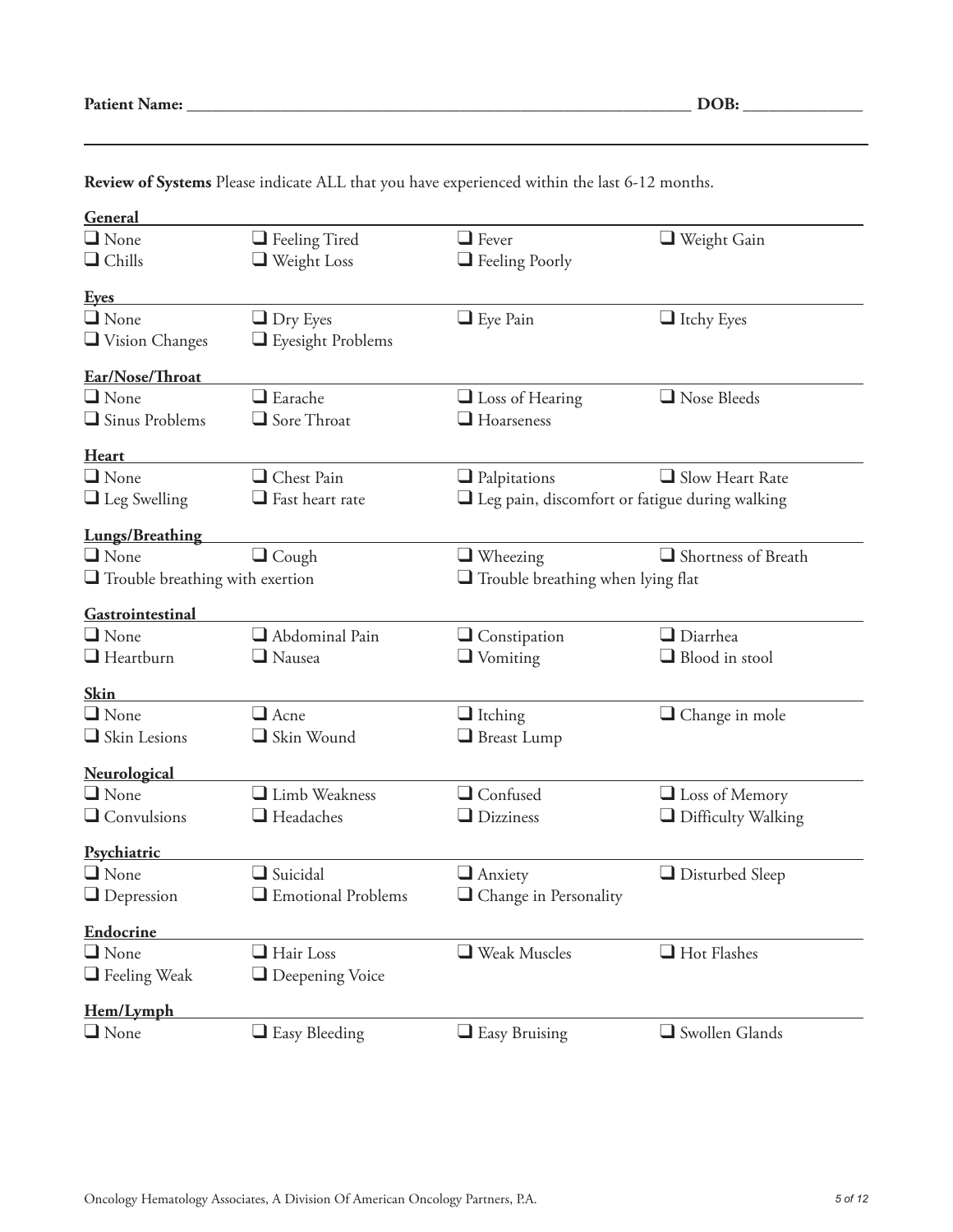| General                                |                        |                                                       |                                          |  |
|----------------------------------------|------------------------|-------------------------------------------------------|------------------------------------------|--|
| $\Box$ None                            | $\Box$ Feeling Tired   | $\Box$ Fever                                          | $\Box$ Weight Gain                       |  |
| $\Box$ Chills                          | $\Box$ Weight Loss     | $\Box$ Feeling Poorly                                 |                                          |  |
| <b>Eyes</b>                            |                        |                                                       |                                          |  |
| $\Box$ None                            | $\Box$ Dry Eyes        | $\Box$ Eye Pain                                       | $\Box$ Itchy Eyes                        |  |
| $\Box$ Vision Changes                  | Eyesight Problems      |                                                       |                                          |  |
| Ear/Nose/Throat                        |                        |                                                       |                                          |  |
| $\Box$ None                            | $\Box$ Earache         | $\Box$ Loss of Hearing                                | Nose Bleeds                              |  |
| $\Box$ Sinus Problems                  | $\Box$ Sore Throat     | $\Box$ Hoarseness                                     |                                          |  |
| <b>Heart</b>                           |                        |                                                       |                                          |  |
| $\Box$ None                            | Chest Pain             | $\Box$ Palpitations                                   | $\Box$ Slow Heart Rate                   |  |
| $\Box$ Leg Swelling                    | $\Box$ Fast heart rate | $\Box$ Leg pain, discomfort or fatigue during walking |                                          |  |
| <b>Lungs/Breathing</b>                 |                        |                                                       |                                          |  |
| $\Box$ None                            | $\Box$ Cough           | $\Box$ Wheezing                                       | Shortness of Breath                      |  |
| $\Box$ Trouble breathing with exertion |                        |                                                       | $\Box$ Trouble breathing when lying flat |  |
| Gastrointestinal                       |                        |                                                       |                                          |  |
| $\Box$ None                            | $\Box$ Abdominal Pain  | $\Box$ Constipation                                   | $\Box$ Diarrhea                          |  |
| $\Box$ Heartburn                       | $\Box$ Nausea          | $\Box$ Vomiting                                       | Blood in stool                           |  |
| <b>Skin</b>                            |                        |                                                       |                                          |  |
| $\Box$ None                            | $\Box$ Acne            | $\Box$ Itching                                        | $\Box$ Change in mole                    |  |
| Skin Lesions                           | $\Box$ Skin Wound      | $\Box$ Breast Lump                                    |                                          |  |
| Neurological                           |                        |                                                       |                                          |  |
| $\Box$ None                            | Limb Weakness          | $\Box$ Confused                                       | $\Box$ Loss of Memory                    |  |
| $\Box$ Convulsions                     | $\Box$ Headaches       | $\Box$ Dizziness                                      | $\Box$ Difficulty Walking                |  |
| Psychiatric                            |                        |                                                       |                                          |  |
| $\Box$ None                            | $\Box$ Suicidal        | $\Box$ Anxiety                                        | $\Box$ Disturbed Sleep                   |  |
| $\Box$ Depression                      | Emotional Problems     | $\Box$ Change in Personality                          |                                          |  |
| Endocrine                              |                        |                                                       |                                          |  |
| $\Box$ None                            | $\Box$ Hair Loss       | Weak Muscles                                          | $\Box$ Hot Flashes                       |  |
| $\Box$ Feeling Weak                    | $\Box$ Deepening Voice |                                                       |                                          |  |
| Hem/Lymph                              |                        |                                                       |                                          |  |
| $\Box$ None                            | $\Box$ Easy Bleeding   | $\Box$ Easy Bruising                                  | $\Box$ Swollen Glands                    |  |

**Review of Systems** Please indicate ALL that you have experienced within the last 6-12 months.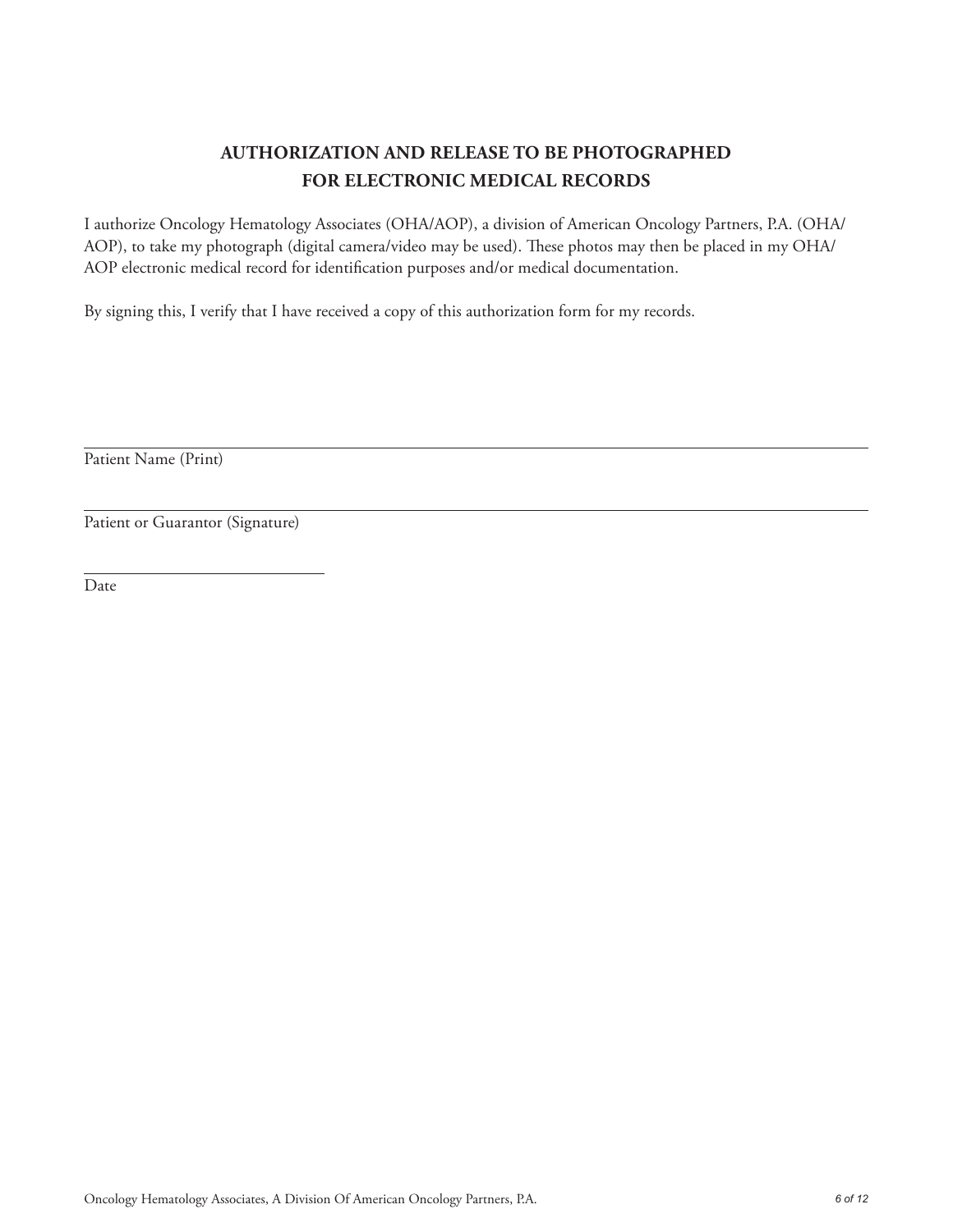# **AUTHORIZATION AND RELEASE TO BE PHOTOGRAPHED FOR ELECTRONIC MEDICAL RECORDS**

I authorize Oncology Hematology Associates (OHA/AOP), a division of American Oncology Partners, P.A. (OHA/ AOP), to take my photograph (digital camera/video may be used). These photos may then be placed in my OHA/ AOP electronic medical record for identification purposes and/or medical documentation.

By signing this, I verify that I have received a copy of this authorization form for my records.

Patient Name (Print)

Patient or Guarantor (Signature)

Date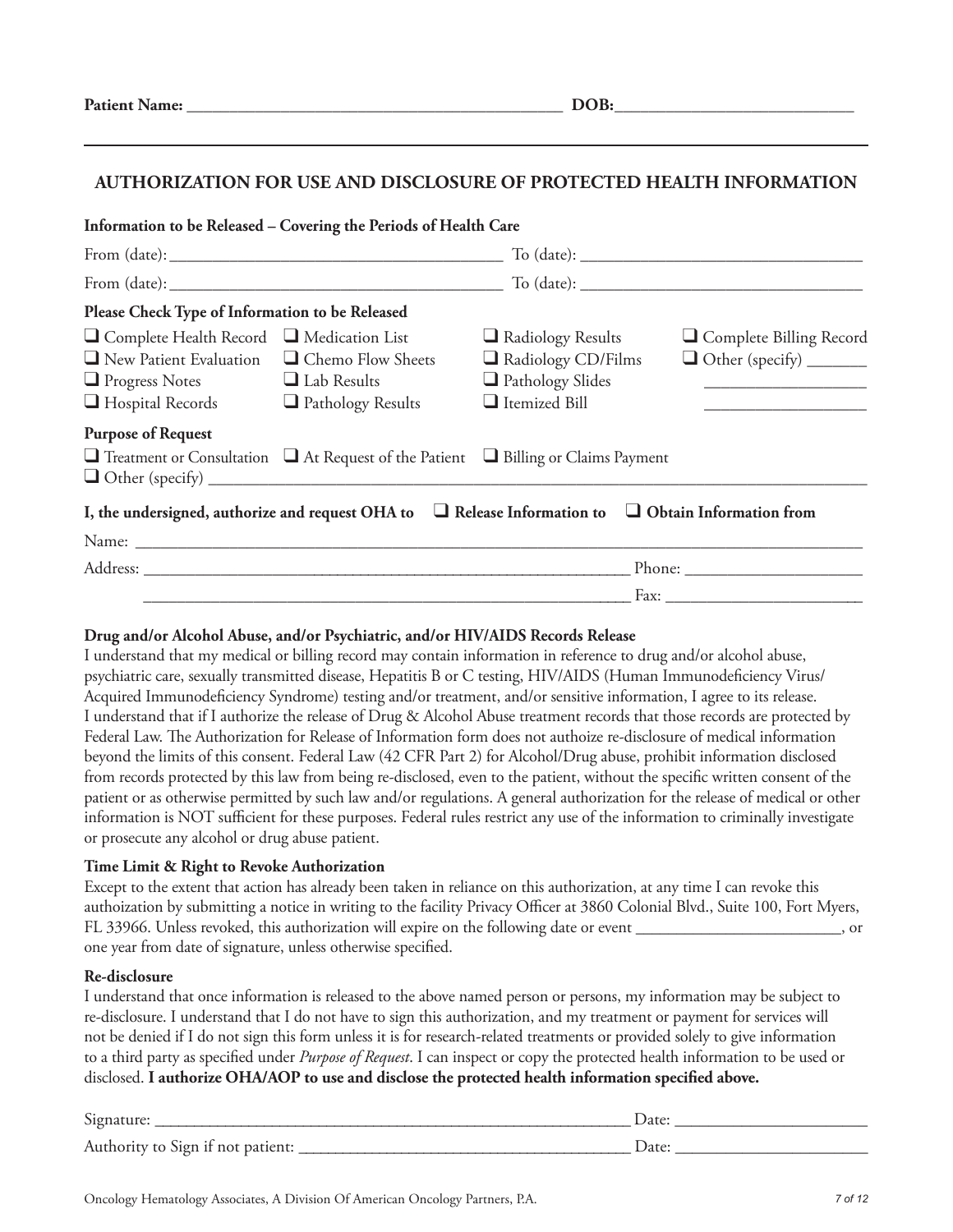| <b>Patient Name:</b> | ---<br>--<br>___<br>___ |
|----------------------|-------------------------|
|                      |                         |

### **AUTHORIZATION FOR USE AND DISCLOSURE OF PROTECTED HEALTH INFORMATION**

#### **Information to be Released – Covering the Periods of Health Care**

| Please Check Type of Information to be Released                                                                                                                                                                   |                                                                                                               |                                                                                            |                                                                              |  |
|-------------------------------------------------------------------------------------------------------------------------------------------------------------------------------------------------------------------|---------------------------------------------------------------------------------------------------------------|--------------------------------------------------------------------------------------------|------------------------------------------------------------------------------|--|
| $\Box$ Complete Health Record $\Box$ Medication List<br>$\Box$ New Patient Evaluation<br>$\Box$ Chemo Flow Sheets<br>$\Box$ Progress Notes $\Box$ Lab Results<br>$\Box$ Hospital Records $\Box$ Pathology Results |                                                                                                               | $\Box$ Radiology Results<br>Radiology CD/Films<br>Pathology Slides<br>$\Box$ Itemized Bill | Complete Billing Record<br><u> 1980 - Jan Barnett, mars et al. (</u> † 1920) |  |
| <b>Purpose of Request</b>                                                                                                                                                                                         | $\Box$ Treatment or Consultation $\Box$ At Request of the Patient $\Box$ Billing or Claims Payment            |                                                                                            |                                                                              |  |
|                                                                                                                                                                                                                   | I, the undersigned, authorize and request OHA to $\Box$ Release Information to $\Box$ Obtain Information from |                                                                                            |                                                                              |  |
|                                                                                                                                                                                                                   |                                                                                                               |                                                                                            |                                                                              |  |
|                                                                                                                                                                                                                   |                                                                                                               |                                                                                            |                                                                              |  |
|                                                                                                                                                                                                                   |                                                                                                               |                                                                                            |                                                                              |  |

#### **Drug and/or Alcohol Abuse, and/or Psychiatric, and/or HIV/AIDS Records Release**

I understand that my medical or billing record may contain information in reference to drug and/or alcohol abuse, psychiatric care, sexually transmitted disease, Hepatitis B or C testing, HIV/AIDS (Human Immunodeficiency Virus/ Acquired Immunodeficiency Syndrome) testing and/or treatment, and/or sensitive information, I agree to its release. I understand that if I authorize the release of Drug & Alcohol Abuse treatment records that those records are protected by Federal Law. The Authorization for Release of Information form does not authoize re-disclosure of medical information beyond the limits of this consent. Federal Law (42 CFR Part 2) for Alcohol/Drug abuse, prohibit information disclosed from records protected by this law from being re-disclosed, even to the patient, without the specific written consent of the patient or as otherwise permitted by such law and/or regulations. A general authorization for the release of medical or other information is NOT sufficient for these purposes. Federal rules restrict any use of the information to criminally investigate or prosecute any alcohol or drug abuse patient.

#### **Time Limit & Right to Revoke Authorization**

Except to the extent that action has already been taken in reliance on this authorization, at any time I can revoke this authoization by submitting a notice in writing to the facility Privacy Officer at 3860 Colonial Blvd., Suite 100, Fort Myers, FL 33966. Unless revoked, this authorization will expire on the following date or event \_\_\_\_\_\_\_\_\_\_\_\_\_\_\_\_\_, or one year from date of signature, unless otherwise specified.

#### **Re-disclosure**

I understand that once information is released to the above named person or persons, my information may be subject to re-disclosure. I understand that I do not have to sign this authorization, and my treatment or payment for services will not be denied if I do not sign this form unless it is for research-related treatments or provided solely to give information to a third party as specified under *Purpose of Request*. I can inspect or copy the protected health information to be used or disclosed. **I authorize OHA/AOP to use and disclose the protected health information specified above.** 

| $\sim$<br>$\sqrt{10}$                                              |                     |
|--------------------------------------------------------------------|---------------------|
| Auth.<br>to Sion it<br>$-m \alpha$ mity $m$<br>not<br>batieni.<br> | $\mathbf{A}$<br>Dαι |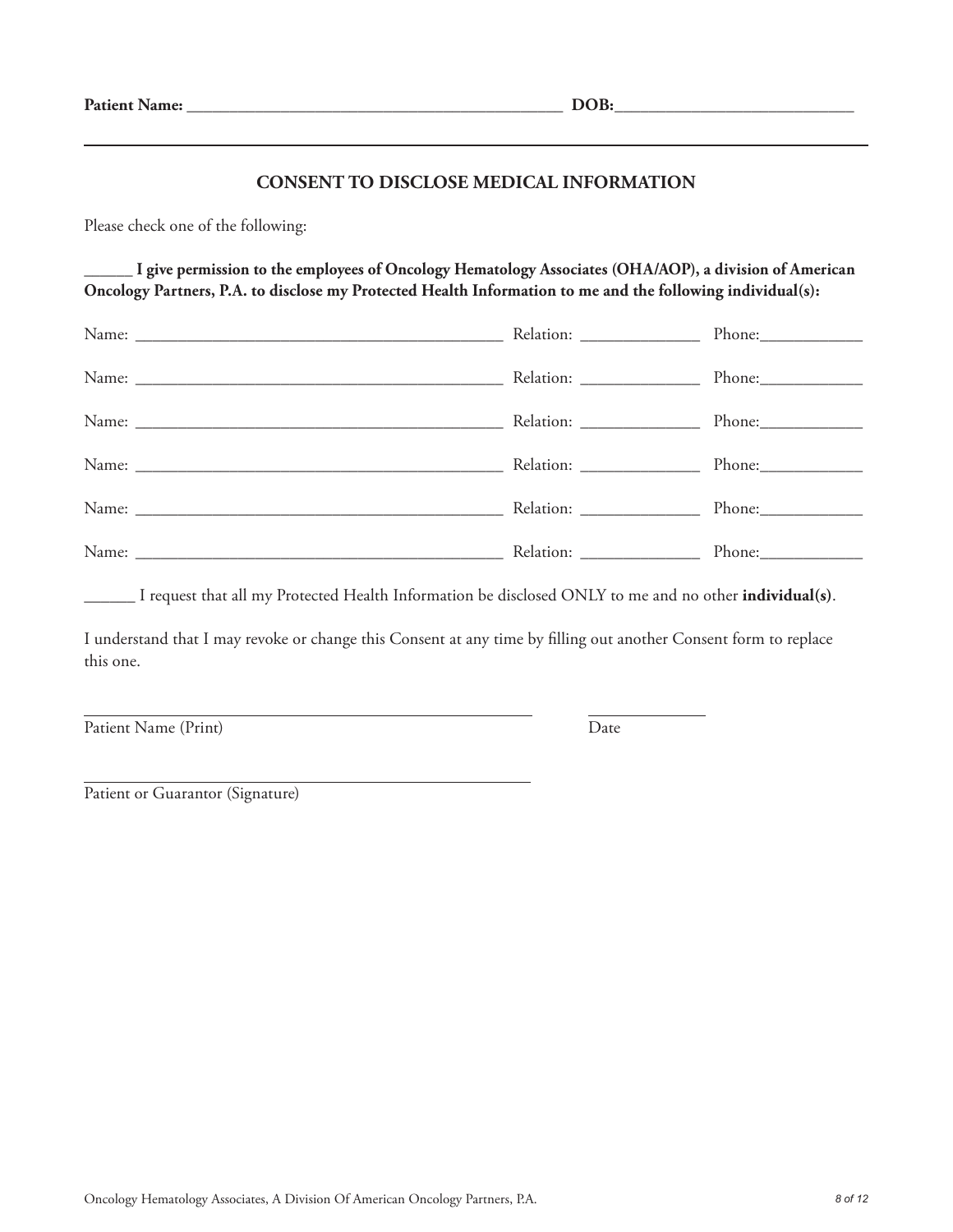### **CONSENT TO DISCLOSE MEDICAL INFORMATION**

Please check one of the following:

**\_\_\_\_\_\_ I give permission to the employees of Oncology Hematology Associates (OHA/AOP), a division of American Oncology Partners, P.A. to disclose my Protected Health Information to me and the following individual(s):**

|  | Phone:     |
|--|------------|
|  | $Phone:\_$ |
|  |            |
|  |            |

\_\_\_\_\_\_ I request that all my Protected Health Information be disclosed ONLY to me and no other **individual(s)**.

I understand that I may revoke or change this Consent at any time by filling out another Consent form to replace this one.

Patient Name (Print) Date

Patient or Guarantor (Signature)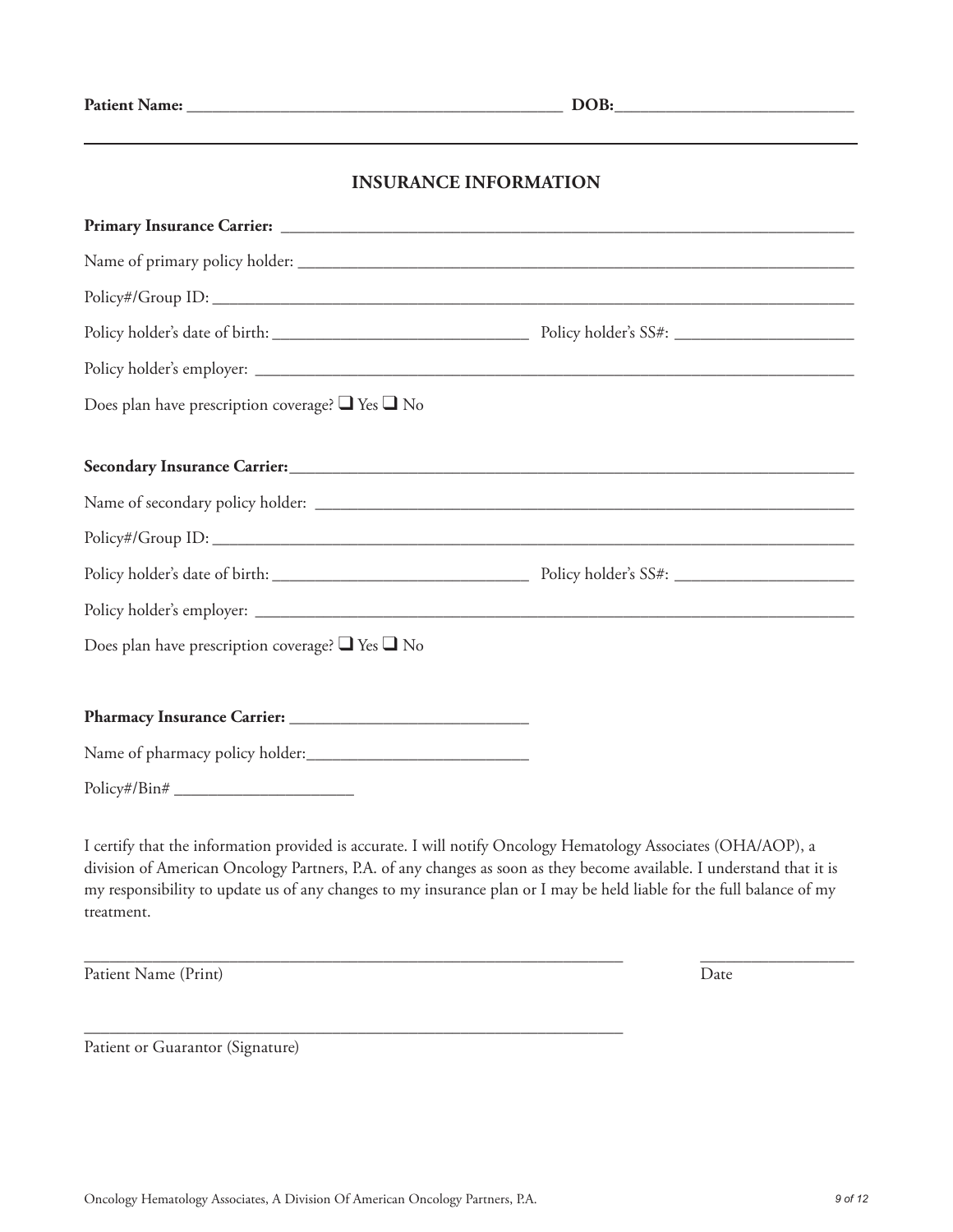# **INSURANCE INFORMATION**

| Does plan have prescription coverage? $\Box$ Yes $\Box$ No |  |
|------------------------------------------------------------|--|
|                                                            |  |
|                                                            |  |
|                                                            |  |
|                                                            |  |
|                                                            |  |
| Does plan have prescription coverage? $\Box$ Yes $\Box$ No |  |
|                                                            |  |
|                                                            |  |
|                                                            |  |
|                                                            |  |

I certify that the information provided is accurate. I will notify Oncology Hematology Associates (OHA/AOP), a division of American Oncology Partners, P.A. of any changes as soon as they become available. I understand that it is my responsibility to update us of any changes to my insurance plan or I may be held liable for the full balance of my treatment.

\_\_\_\_\_\_\_\_\_\_\_\_\_\_\_\_\_\_\_\_\_\_\_\_\_\_\_\_\_\_\_\_\_\_\_\_\_\_\_\_\_\_\_\_\_\_\_\_\_\_\_\_\_\_\_\_\_\_\_\_\_\_\_ \_\_\_\_\_\_\_\_\_\_\_\_\_\_\_\_\_\_

Patient Name (Print) Date

Patient or Guarantor (Signature)

\_\_\_\_\_\_\_\_\_\_\_\_\_\_\_\_\_\_\_\_\_\_\_\_\_\_\_\_\_\_\_\_\_\_\_\_\_\_\_\_\_\_\_\_\_\_\_\_\_\_\_\_\_\_\_\_\_\_\_\_\_\_\_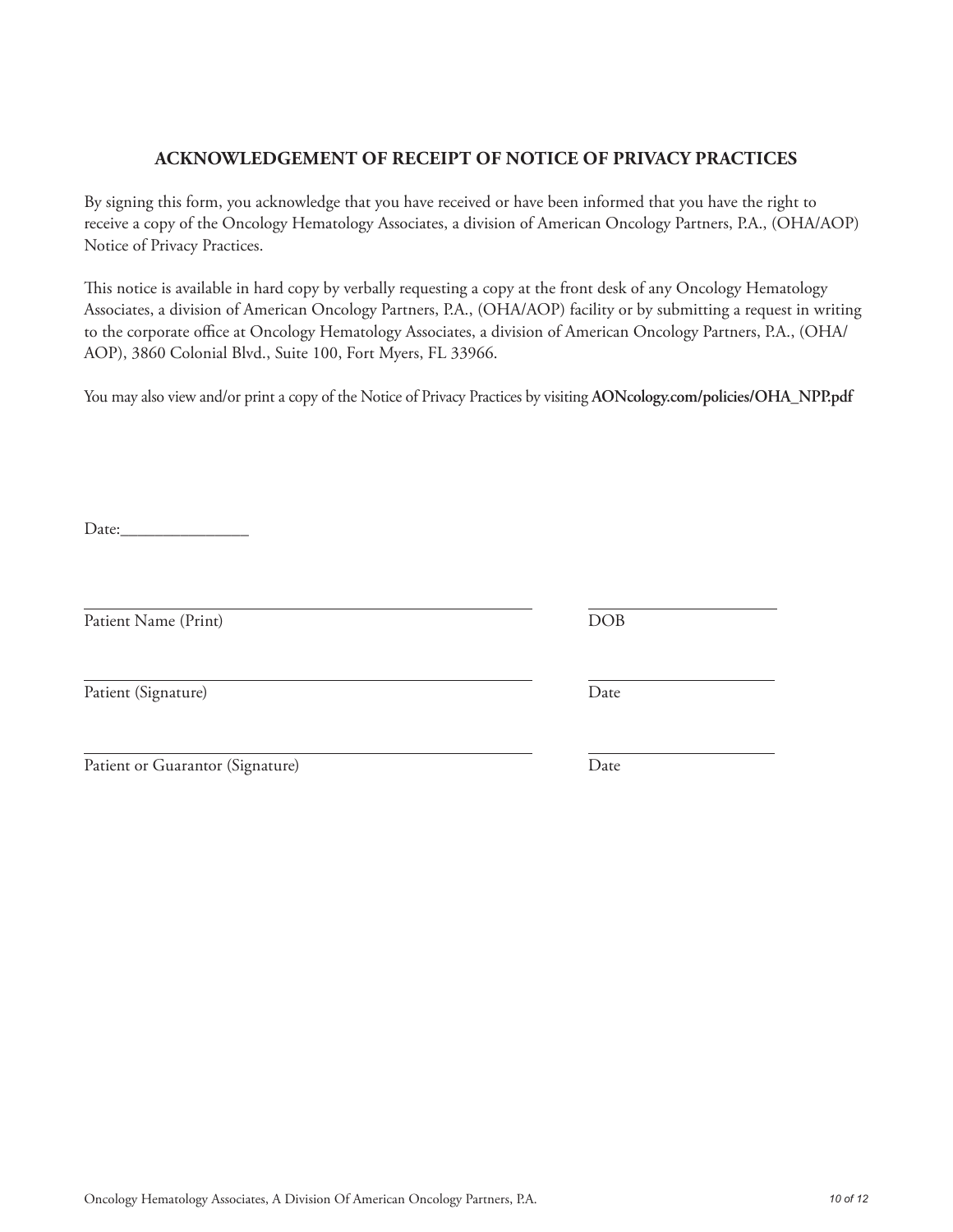# Oncology Hematology Associates, A Division Of American Oncology Partners, P.A. *10 of 12*

# **ACKNOWLEDGEMENT OF RECEIPT OF NOTICE OF PRIVACY PRACTICES**

By signing this form, you acknowledge that you have received or have been informed that you have the right to receive a copy of the Oncology Hematology Associates, a division of American Oncology Partners, P.A., (OHA/AOP) Notice of Privacy Practices.

This notice is available in hard copy by verbally requesting a copy at the front desk of any Oncology Hematology Associates, a division of American Oncology Partners, P.A., (OHA/AOP) facility or by submitting a request in writing to the corporate office at Oncology Hematology Associates, a division of American Oncology Partners, P.A., (OHA/ AOP), 3860 Colonial Blvd., Suite 100, Fort Myers, FL 33966.

You may also view and/or print a copy of the Notice of Privacy Practices by visiting **AONcology.com/policies/OHA\_NPP.pdf**

Date:

Patient Name (Print) DOB

Patient (Signature) Date

| Patient or Guarantor (Signature) | Date |
|----------------------------------|------|
|                                  |      |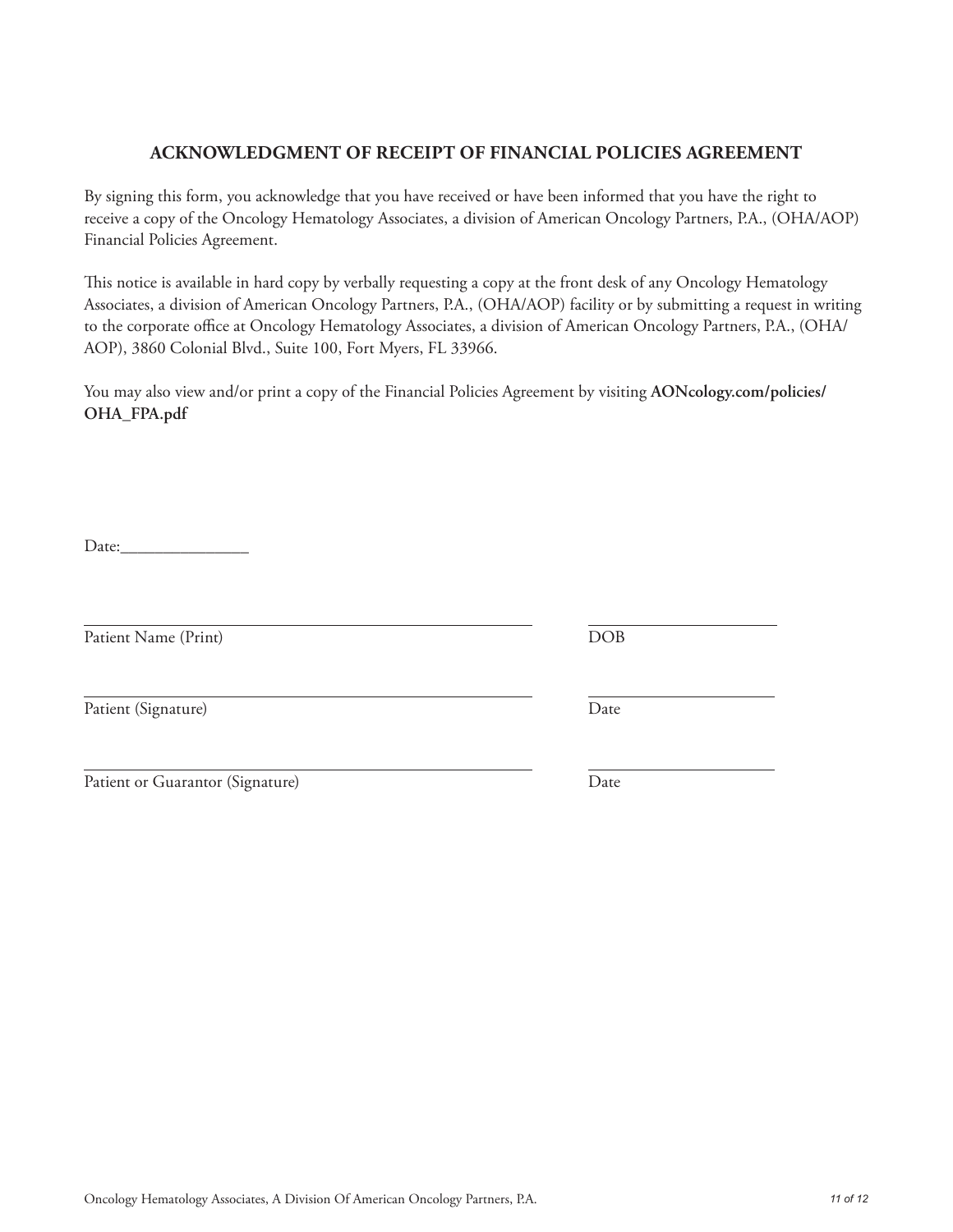# Oncology Hematology Associates, A Division Of American Oncology Partners, P.A. *11 of 12*

# **ACKNOWLEDGMENT OF RECEIPT OF FINANCIAL POLICIES AGREEMENT**

By signing this form, you acknowledge that you have received or have been informed that you have the right to receive a copy of the Oncology Hematology Associates, a division of American Oncology Partners, P.A., (OHA/AOP) Financial Policies Agreement.

This notice is available in hard copy by verbally requesting a copy at the front desk of any Oncology Hematology Associates, a division of American Oncology Partners, P.A., (OHA/AOP) facility or by submitting a request in writing to the corporate office at Oncology Hematology Associates, a division of American Oncology Partners, P.A., (OHA/ AOP), 3860 Colonial Blvd., Suite 100, Fort Myers, FL 33966.

You may also view and/or print a copy of the Financial Policies Agreement by visiting **AONcology.com/policies/ OHA\_FPA.pdf**

Date:\_\_\_\_\_\_\_\_\_\_\_\_\_\_\_

Patient Name (Print) DOB

Patient (Signature) Date

Patient or Guarantor (Signature) Date